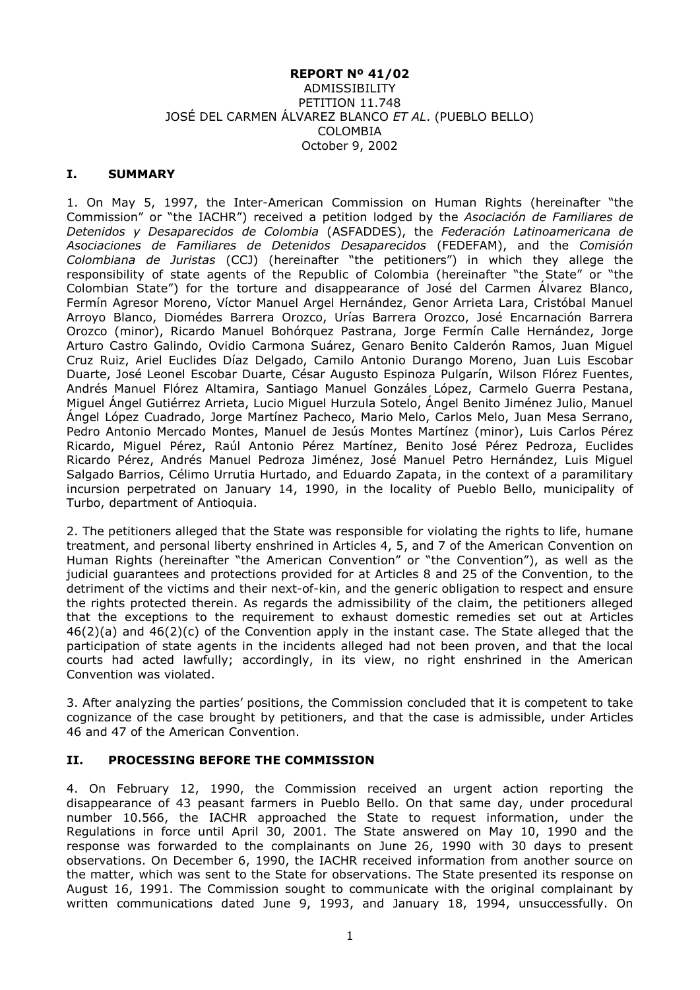#### **REPORT Nº 41/02** ADMISSIBILITY PETITION 11.748 JOSÉ DEL CARMEN ÁLVAREZ BLANCO *ET AL*. (PUEBLO BELLO) COLOMBIA October 9, 2002

#### **I. SUMMARY**

1. On May 5, 1997, the Inter-American Commission on Human Rights (hereinafter "the Commission" or "the IACHR") received a petition lodged by the *Asociación de Familiares de Detenidos y Desaparecidos de Colombia* (ASFADDES), the *Federación Latinoamericana de Asociaciones de Familiares de Detenidos Desaparecidos* (FEDEFAM), and the *Comisión Colombiana de Juristas* (CCJ) (hereinafter "the petitioners") in which they allege the responsibility of state agents of the Republic of Colombia (hereinafter "the State" or "the Colombian State") for the torture and disappearance of José del Carmen Álvarez Blanco, Fermín Agresor Moreno, Víctor Manuel Argel Hernández, Genor Arrieta Lara, Cristóbal Manuel Arroyo Blanco, Diomédes Barrera Orozco, Urías Barrera Orozco, José Encarnación Barrera Orozco (minor), Ricardo Manuel Bohórquez Pastrana, Jorge Fermín Calle Hernández, Jorge Arturo Castro Galindo, Ovidio Carmona Suárez, Genaro Benito Calderón Ramos, Juan Miguel Cruz Ruiz, Ariel Euclides Díaz Delgado, Camilo Antonio Durango Moreno, Juan Luis Escobar Duarte, José Leonel Escobar Duarte, César Augusto Espinoza Pulgarín, Wilson Flórez Fuentes, Andrés Manuel Flórez Altamira, Santiago Manuel Gonzáles López, Carmelo Guerra Pestana, Miguel Ángel Gutiérrez Arrieta, Lucio Miguel Hurzula Sotelo, Ángel Benito Jiménez Julio, Manuel Ángel López Cuadrado, Jorge Martínez Pacheco, Mario Melo, Carlos Melo, Juan Mesa Serrano, Pedro Antonio Mercado Montes, Manuel de Jesús Montes Martínez (minor), Luis Carlos Pérez Ricardo, Miguel Pérez, Raúl Antonio Pérez Martínez, Benito José Pérez Pedroza, Euclides Ricardo Pérez, Andrés Manuel Pedroza Jiménez, José Manuel Petro Hernández, Luis Miguel Salgado Barrios, Célimo Urrutia Hurtado, and Eduardo Zapata, in the context of a paramilitary incursion perpetrated on January 14, 1990, in the locality of Pueblo Bello, municipality of Turbo, department of Antioquia.

2. The petitioners alleged that the State was responsible for violating the rights to life, humane treatment, and personal liberty enshrined in Articles 4, 5, and 7 of the American Convention on Human Rights (hereinafter "the American Convention" or "the Convention"), as well as the judicial guarantees and protections provided for at Articles 8 and 25 of the Convention, to the detriment of the victims and their next-of-kin, and the generic obligation to respect and ensure the rights protected therein. As regards the admissibility of the claim, the petitioners alleged that the exceptions to the requirement to exhaust domestic remedies set out at Articles  $46(2)(a)$  and  $46(2)(c)$  of the Convention apply in the instant case. The State alleged that the participation of state agents in the incidents alleged had not been proven, and that the local courts had acted lawfully; accordingly, in its view, no right enshrined in the American Convention was violated.

3. After analyzing the parties' positions, the Commission concluded that it is competent to take cognizance of the case brought by petitioners, and that the case is admissible, under Articles 46 and 47 of the American Convention.

### **II. PROCESSING BEFORE THE COMMISSION**

4. On February 12, 1990, the Commission received an urgent action reporting the disappearance of 43 peasant farmers in Pueblo Bello. On that same day, under procedural number 10.566, the IACHR approached the State to request information, under the Regulations in force until April 30, 2001. The State answered on May 10, 1990 and the response was forwarded to the complainants on June 26, 1990 with 30 days to present observations. On December 6, 1990, the IACHR received information from another source on the matter, which was sent to the State for observations. The State presented its response on August 16, 1991. The Commission sought to communicate with the original complainant by written communications dated June 9, 1993, and January 18, 1994, unsuccessfully. On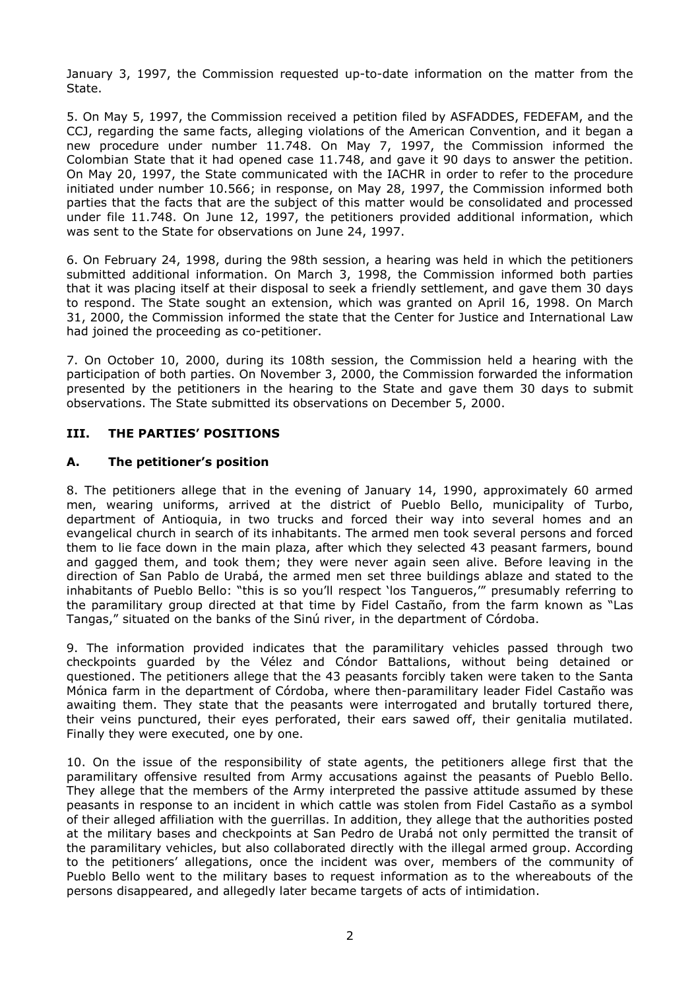January 3, 1997, the Commission requested up-to-date information on the matter from the State.

5. On May 5, 1997, the Commission received a petition filed by ASFADDES, FEDEFAM, and the CCJ, regarding the same facts, alleging violations of the American Convention, and it began a new procedure under number 11.748. On May 7, 1997, the Commission informed the Colombian State that it had opened case 11.748, and gave it 90 days to answer the petition. On May 20, 1997, the State communicated with the IACHR in order to refer to the procedure initiated under number 10.566; in response, on May 28, 1997, the Commission informed both parties that the facts that are the subject of this matter would be consolidated and processed under file 11.748. On June 12, 1997, the petitioners provided additional information, which was sent to the State for observations on June 24, 1997.

6. On February 24, 1998, during the 98th session, a hearing was held in which the petitioners submitted additional information. On March 3, 1998, the Commission informed both parties that it was placing itself at their disposal to seek a friendly settlement, and gave them 30 days to respond. The State sought an extension, which was granted on April 16, 1998. On March 31, 2000, the Commission informed the state that the Center for Justice and International Law had joined the proceeding as co-petitioner.

7. On October 10, 2000, during its 108th session, the Commission held a hearing with the participation of both parties. On November 3, 2000, the Commission forwarded the information presented by the petitioners in the hearing to the State and gave them 30 days to submit observations. The State submitted its observations on December 5, 2000.

### **III. THE PARTIES' POSITIONS**

### **A. The petitioner's position**

8. The petitioners allege that in the evening of January 14, 1990, approximately 60 armed men, wearing uniforms, arrived at the district of Pueblo Bello, municipality of Turbo, department of Antioquia, in two trucks and forced their way into several homes and an evangelical church in search of its inhabitants. The armed men took several persons and forced them to lie face down in the main plaza, after which they selected 43 peasant farmers, bound and gagged them, and took them; they were never again seen alive. Before leaving in the direction of San Pablo de Urabá, the armed men set three buildings ablaze and stated to the inhabitants of Pueblo Bello: "this is so you'll respect 'los Tangueros,'" presumably referring to the paramilitary group directed at that time by Fidel Castaño, from the farm known as "Las Tangas," situated on the banks of the Sinú river, in the department of Córdoba.

9. The information provided indicates that the paramilitary vehicles passed through two checkpoints guarded by the Vélez and Cóndor Battalions, without being detained or questioned. The petitioners allege that the 43 peasants forcibly taken were taken to the Santa Mónica farm in the department of Córdoba, where then-paramilitary leader Fidel Castaño was awaiting them. They state that the peasants were interrogated and brutally tortured there, their veins punctured, their eyes perforated, their ears sawed off, their genitalia mutilated. Finally they were executed, one by one.

10. On the issue of the responsibility of state agents, the petitioners allege first that the paramilitary offensive resulted from Army accusations against the peasants of Pueblo Bello. They allege that the members of the Army interpreted the passive attitude assumed by these peasants in response to an incident in which cattle was stolen from Fidel Castaño as a symbol of their alleged affiliation with the guerrillas. In addition, they allege that the authorities posted at the military bases and checkpoints at San Pedro de Urabá not only permitted the transit of the paramilitary vehicles, but also collaborated directly with the illegal armed group. According to the petitioners' allegations, once the incident was over, members of the community of Pueblo Bello went to the military bases to request information as to the whereabouts of the persons disappeared, and allegedly later became targets of acts of intimidation.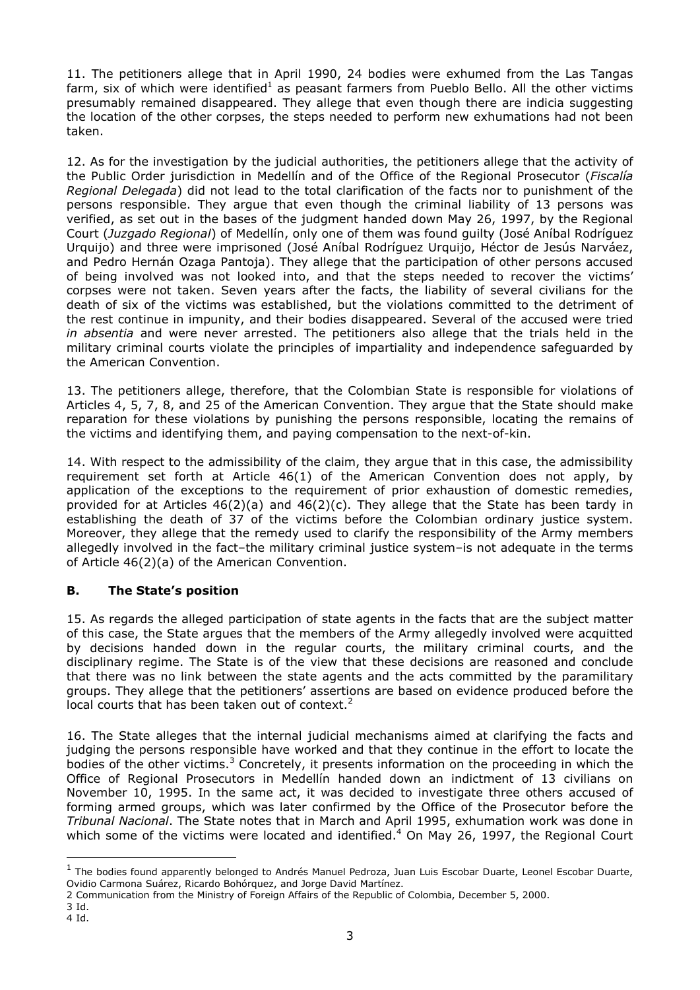11. The petitioners allege that in April 1990, 24 bodies were exhumed from the Las Tangas farm, six of which were identified<sup>1</sup> as peasant farmers from Pueblo Bello. All the other victims presumably remained disappeared. They allege that even though there are indicia suggesting the location of the other corpses, the steps needed to perform new exhumations had not been taken.

12. As for the investigation by the judicial authorities, the petitioners allege that the activity of the Public Order jurisdiction in Medellín and of the Office of the Regional Prosecutor (*Fiscalía Regional Delegada*) did not lead to the total clarification of the facts nor to punishment of the persons responsible. They argue that even though the criminal liability of 13 persons was verified, as set out in the bases of the judgment handed down May 26, 1997, by the Regional Court (*Juzgado Regional*) of Medellín, only one of them was found guilty (José Aníbal Rodríguez Urquijo) and three were imprisoned (José Aníbal Rodríguez Urquijo, Héctor de Jesús Narváez, and Pedro Hernán Ozaga Pantoja). They allege that the participation of other persons accused of being involved was not looked into, and that the steps needed to recover the victims' corpses were not taken. Seven years after the facts, the liability of several civilians for the death of six of the victims was established, but the violations committed to the detriment of the rest continue in impunity, and their bodies disappeared. Several of the accused were tried *in absentia* and were never arrested. The petitioners also allege that the trials held in the military criminal courts violate the principles of impartiality and independence safeguarded by the American Convention.

13. The petitioners allege, therefore, that the Colombian State is responsible for violations of Articles 4, 5, 7, 8, and 25 of the American Convention. They argue that the State should make reparation for these violations by punishing the persons responsible, locating the remains of the victims and identifying them, and paying compensation to the next-of-kin.

14. With respect to the admissibility of the claim, they argue that in this case, the admissibility requirement set forth at Article 46(1) of the American Convention does not apply, by application of the exceptions to the requirement of prior exhaustion of domestic remedies, provided for at Articles  $46(2)(a)$  and  $46(2)(c)$ . They allege that the State has been tardy in establishing the death of 37 of the victims before the Colombian ordinary justice system. Moreover, they allege that the remedy used to clarify the responsibility of the Army members allegedly involved in the fact–the military criminal justice system–is not adequate in the terms of Article 46(2)(a) of the American Convention.

# **B. The State's position**

15. As regards the alleged participation of state agents in the facts that are the subject matter of this case, the State argues that the members of the Army allegedly involved were acquitted by decisions handed down in the regular courts, the military criminal courts, and the disciplinary regime. The State is of the view that these decisions are reasoned and conclude that there was no link between the state agents and the acts committed by the paramilitary groups. They allege that the petitioners' assertions are based on evidence produced before the local courts that has been taken out of context.<sup>2</sup>

16. The State alleges that the internal judicial mechanisms aimed at clarifying the facts and judging the persons responsible have worked and that they continue in the effort to locate the bodies of the other victims.<sup>3</sup> Concretely, it presents information on the proceeding in which the Office of Regional Prosecutors in Medellín handed down an indictment of 13 civilians on November 10, 1995. In the same act, it was decided to investigate three others accused of forming armed groups, which was later confirmed by the Office of the Prosecutor before the *Tribunal Nacional*. The State notes that in March and April 1995, exhumation work was done in which some of the victims were located and identified.<sup>4</sup> On May 26, 1997, the Regional Court

-

<sup>&</sup>lt;sup>1</sup> The bodies found apparently belonged to Andrés Manuel Pedroza, Juan Luis Escobar Duarte, Leonel Escobar Duarte, Ovidio Carmona Suárez, Ricardo Bohórquez, and Jorge David Martínez.

<sup>2</sup> Communication from the Ministry of Foreign Affairs of the Republic of Colombia, December 5, 2000.

<sup>3</sup> Id.

<sup>4</sup> Id.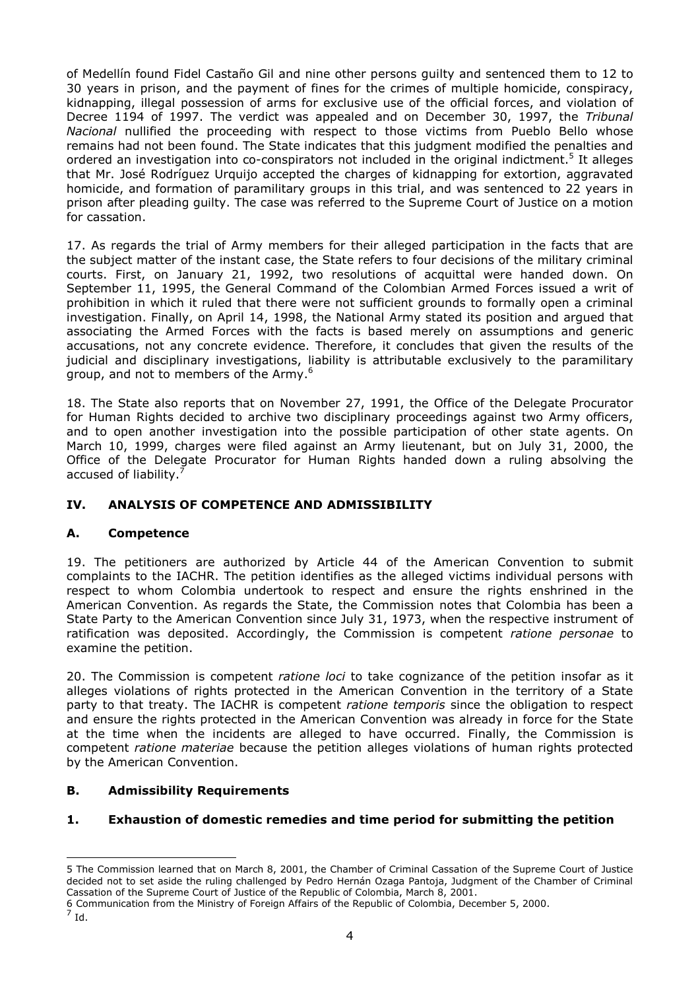of Medellín found Fidel Castaño Gil and nine other persons guilty and sentenced them to 12 to 30 years in prison, and the payment of fines for the crimes of multiple homicide, conspiracy, kidnapping, illegal possession of arms for exclusive use of the official forces, and violation of Decree 1194 of 1997. The verdict was appealed and on December 30, 1997, the *Tribunal Nacional* nullified the proceeding with respect to those victims from Pueblo Bello whose remains had not been found. The State indicates that this judgment modified the penalties and ordered an investigation into co-conspirators not included in the original indictment.<sup>5</sup> It alleges that Mr. José Rodríguez Urquijo accepted the charges of kidnapping for extortion, aggravated homicide, and formation of paramilitary groups in this trial, and was sentenced to 22 years in prison after pleading guilty. The case was referred to the Supreme Court of Justice on a motion for cassation.

17. As regards the trial of Army members for their alleged participation in the facts that are the subject matter of the instant case, the State refers to four decisions of the military criminal courts. First, on January 21, 1992, two resolutions of acquittal were handed down. On September 11, 1995, the General Command of the Colombian Armed Forces issued a writ of prohibition in which it ruled that there were not sufficient grounds to formally open a criminal investigation. Finally, on April 14, 1998, the National Army stated its position and argued that associating the Armed Forces with the facts is based merely on assumptions and generic accusations, not any concrete evidence. Therefore, it concludes that given the results of the judicial and disciplinary investigations, liability is attributable exclusively to the paramilitary group, and not to members of the Army.<sup>6</sup>

18. The State also reports that on November 27, 1991, the Office of the Delegate Procurator for Human Rights decided to archive two disciplinary proceedings against two Army officers, and to open another investigation into the possible participation of other state agents. On March 10, 1999, charges were filed against an Army lieutenant, but on July 31, 2000, the Office of the Delegate Procurator for Human Rights handed down a ruling absolving the accused of liability.<sup>7</sup>

# **IV. ANALYSIS OF COMPETENCE AND ADMISSIBILITY**

### **A. Competence**

19. The petitioners are authorized by Article 44 of the American Convention to submit complaints to the IACHR. The petition identifies as the alleged victims individual persons with respect to whom Colombia undertook to respect and ensure the rights enshrined in the American Convention. As regards the State, the Commission notes that Colombia has been a State Party to the American Convention since July 31, 1973, when the respective instrument of ratification was deposited. Accordingly, the Commission is competent *ratione personae* to examine the petition.

20. The Commission is competent *ratione loci* to take cognizance of the petition insofar as it alleges violations of rights protected in the American Convention in the territory of a State party to that treaty. The IACHR is competent *ratione temporis* since the obligation to respect and ensure the rights protected in the American Convention was already in force for the State at the time when the incidents are alleged to have occurred. Finally, the Commission is competent *ratione materiae* because the petition alleges violations of human rights protected by the American Convention.

### **B. Admissibility Requirements**

### **1. Exhaustion of domestic remedies and time period for submitting the petition**

 $^7$  Id.

-

<sup>5</sup> The Commission learned that on March 8, 2001, the Chamber of Criminal Cassation of the Supreme Court of Justice decided not to set aside the ruling challenged by Pedro Hernán Ozaga Pantoja, Judgment of the Chamber of Criminal Cassation of the Supreme Court of Justice of the Republic of Colombia, March 8, 2001.

<sup>6</sup> Communication from the Ministry of Foreign Affairs of the Republic of Colombia, December 5, 2000.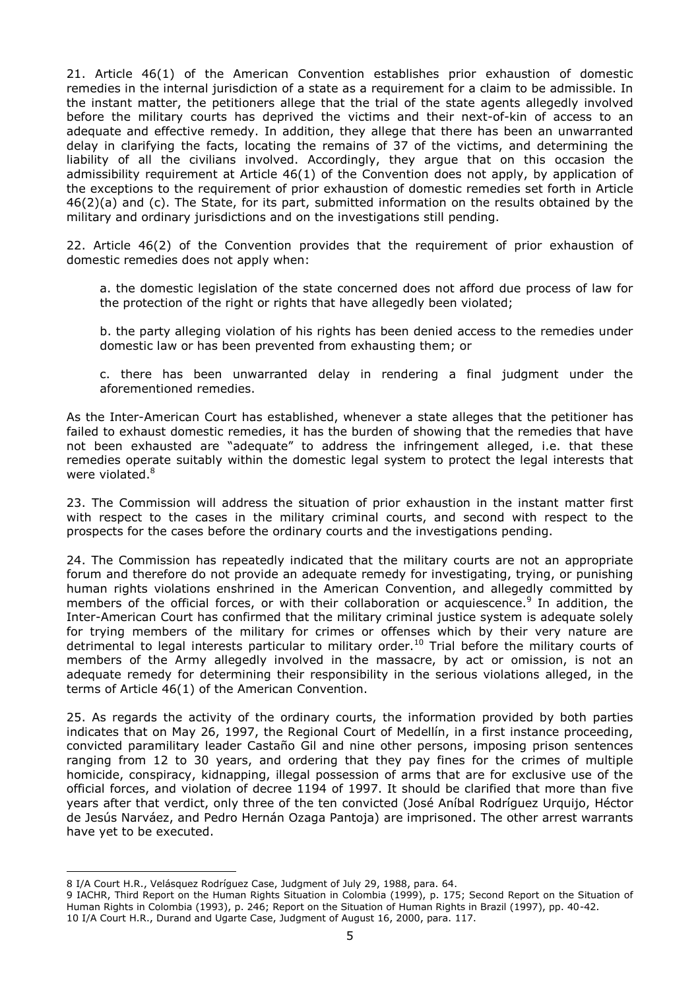21. Article 46(1) of the American Convention establishes prior exhaustion of domestic remedies in the internal jurisdiction of a state as a requirement for a claim to be admissible. In the instant matter, the petitioners allege that the trial of the state agents allegedly involved before the military courts has deprived the victims and their next-of-kin of access to an adequate and effective remedy. In addition, they allege that there has been an unwarranted delay in clarifying the facts, locating the remains of 37 of the victims, and determining the liability of all the civilians involved. Accordingly, they argue that on this occasion the admissibility requirement at Article 46(1) of the Convention does not apply, by application of the exceptions to the requirement of prior exhaustion of domestic remedies set forth in Article 46(2)(a) and (c). The State, for its part, submitted information on the results obtained by the military and ordinary jurisdictions and on the investigations still pending.

22. Article 46(2) of the Convention provides that the requirement of prior exhaustion of domestic remedies does not apply when:

a. the domestic legislation of the state concerned does not afford due process of law for the protection of the right or rights that have allegedly been violated;

b. the party alleging violation of his rights has been denied access to the remedies under domestic law or has been prevented from exhausting them; or

c. there has been unwarranted delay in rendering a final judgment under the aforementioned remedies.

As the Inter-American Court has established, whenever a state alleges that the petitioner has failed to exhaust domestic remedies, it has the burden of showing that the remedies that have not been exhausted are "adequate" to address the infringement alleged, i.e. that these remedies operate suitably within the domestic legal system to protect the legal interests that were violated.<sup>8</sup>

23. The Commission will address the situation of prior exhaustion in the instant matter first with respect to the cases in the military criminal courts, and second with respect to the prospects for the cases before the ordinary courts and the investigations pending.

24. The Commission has repeatedly indicated that the military courts are not an appropriate forum and therefore do not provide an adequate remedy for investigating, trying, or punishing human rights violations enshrined in the American Convention, and allegedly committed by members of the official forces, or with their collaboration or acquiescence.<sup>9</sup> In addition, the Inter-American Court has confirmed that the military criminal justice system is adequate solely for trying members of the military for crimes or offenses which by their very nature are detrimental to legal interests particular to military order.<sup>10</sup> Trial before the military courts of members of the Army allegedly involved in the massacre, by act or omission, is not an adequate remedy for determining their responsibility in the serious violations alleged, in the terms of Article 46(1) of the American Convention.

25. As regards the activity of the ordinary courts, the information provided by both parties indicates that on May 26, 1997, the Regional Court of Medellín, in a first instance proceeding, convicted paramilitary leader Castaño Gil and nine other persons, imposing prison sentences ranging from 12 to 30 years, and ordering that they pay fines for the crimes of multiple homicide, conspiracy, kidnapping, illegal possession of arms that are for exclusive use of the official forces, and violation of decree 1194 of 1997. It should be clarified that more than five years after that verdict, only three of the ten convicted (José Aníbal Rodríguez Urquijo, Héctor de Jesús Narváez, and Pedro Hernán Ozaga Pantoja) are imprisoned. The other arrest warrants have yet to be executed.

-

<sup>8</sup> I/A Court H.R., Velásquez Rodríguez Case, Judgment of July 29, 1988, para. 64.

<sup>9</sup> IACHR, Third Report on the Human Rights Situation in Colombia (1999), p. 175; Second Report on the Situation of Human Rights in Colombia (1993), p. 246; Report on the Situation of Human Rights in Brazil (1997), pp. 40-42. 10 I/A Court H.R., Durand and Ugarte Case, Judgment of August 16, 2000, para. 117.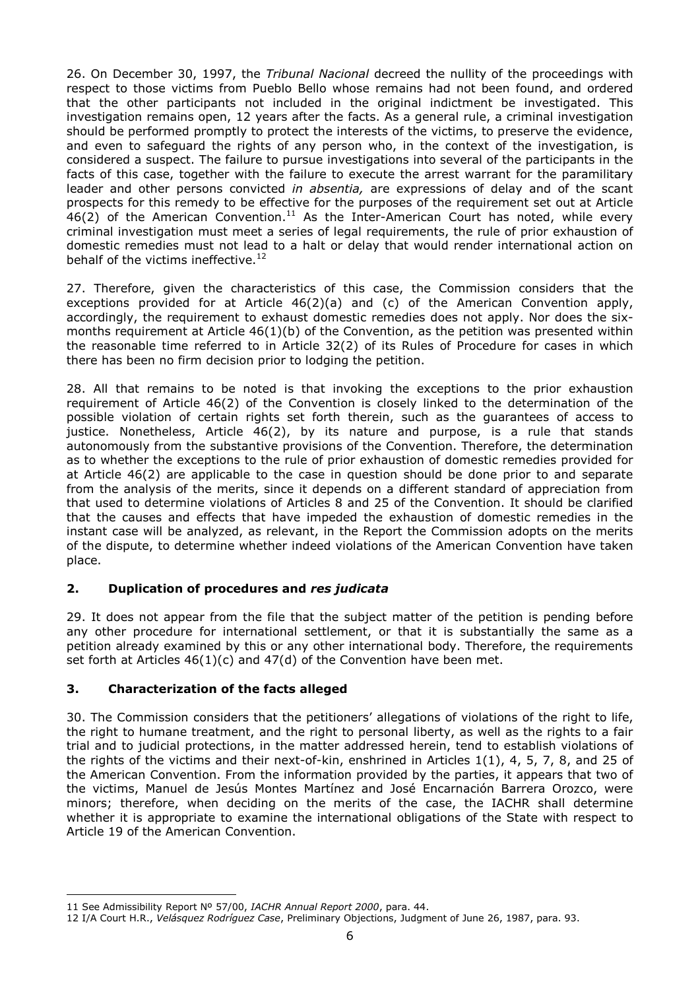26. On December 30, 1997, the *Tribunal Nacional* decreed the nullity of the proceedings with respect to those victims from Pueblo Bello whose remains had not been found, and ordered that the other participants not included in the original indictment be investigated. This investigation remains open, 12 years after the facts. As a general rule, a criminal investigation should be performed promptly to protect the interests of the victims, to preserve the evidence, and even to safeguard the rights of any person who, in the context of the investigation, is considered a suspect. The failure to pursue investigations into several of the participants in the facts of this case, together with the failure to execute the arrest warrant for the paramilitary leader and other persons convicted *in absentia,* are expressions of delay and of the scant prospects for this remedy to be effective for the purposes of the requirement set out at Article  $46(2)$  of the American Convention.<sup>11</sup> As the Inter-American Court has noted, while every criminal investigation must meet a series of legal requirements, the rule of prior exhaustion of domestic remedies must not lead to a halt or delay that would render international action on behalf of the victims ineffective. $^{12}$ 

27. Therefore, given the characteristics of this case, the Commission considers that the exceptions provided for at Article  $46(2)(a)$  and (c) of the American Convention apply, accordingly, the requirement to exhaust domestic remedies does not apply. Nor does the sixmonths requirement at Article 46(1)(b) of the Convention, as the petition was presented within the reasonable time referred to in Article 32(2) of its Rules of Procedure for cases in which there has been no firm decision prior to lodging the petition.

28. All that remains to be noted is that invoking the exceptions to the prior exhaustion requirement of Article 46(2) of the Convention is closely linked to the determination of the possible violation of certain rights set forth therein, such as the guarantees of access to justice. Nonetheless, Article 46(2), by its nature and purpose, is a rule that stands autonomously from the substantive provisions of the Convention. Therefore, the determination as to whether the exceptions to the rule of prior exhaustion of domestic remedies provided for at Article 46(2) are applicable to the case in question should be done prior to and separate from the analysis of the merits, since it depends on a different standard of appreciation from that used to determine violations of Articles 8 and 25 of the Convention. It should be clarified that the causes and effects that have impeded the exhaustion of domestic remedies in the instant case will be analyzed, as relevant, in the Report the Commission adopts on the merits of the dispute, to determine whether indeed violations of the American Convention have taken place.

### **2. Duplication of procedures and** *res judicata*

29. It does not appear from the file that the subject matter of the petition is pending before any other procedure for international settlement, or that it is substantially the same as a petition already examined by this or any other international body. Therefore, the requirements set forth at Articles  $46(1)(c)$  and  $47(d)$  of the Convention have been met.

### **3. Characterization of the facts alleged**

30. The Commission considers that the petitioners' allegations of violations of the right to life, the right to humane treatment, and the right to personal liberty, as well as the rights to a fair trial and to judicial protections, in the matter addressed herein, tend to establish violations of the rights of the victims and their next-of-kin, enshrined in Articles 1(1), 4, 5, 7, 8, and 25 of the American Convention. From the information provided by the parties, it appears that two of the victims, Manuel de Jesús Montes Martínez and José Encarnación Barrera Orozco, were minors; therefore, when deciding on the merits of the case, the IACHR shall determine whether it is appropriate to examine the international obligations of the State with respect to Article 19 of the American Convention.

<sup>-</sup>11 See Admissibility Report Nº 57/00, *IACHR Annual Report 2000*, para. 44.

<sup>12</sup> I/A Court H.R., *Velásquez Rodríguez Case*, Preliminary Objections, Judgment of June 26, 1987, para. 93.